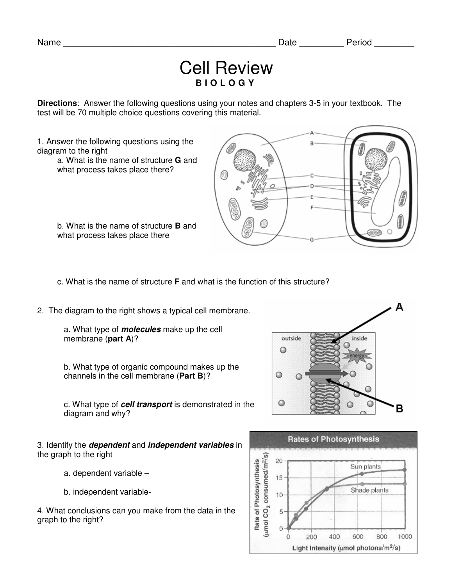## Cell Review **B I O L O G Y**

**Directions**: Answer the following questions using your notes and chapters 3-5 in your textbook. The test will be 70 multiple choice questions covering this material.

1. Answer the following questions using the diagram to the right

a. What is the name of structure **G** and what process takes place there?

b. What is the name of structure **B** and what process takes place there



c. What is the name of structure **F** and what is the function of this structure?

2. The diagram to the right shows a typical cell membrane.

a. What type of **molecules** make up the cell membrane (**part A**)?

b. What type of organic compound makes up the channels in the cell membrane (**Part B**)?

c. What type of **cell transport** is demonstrated in the diagram and why?

3. Identify the **dependent** and **independent variables** in the graph to the right

- a. dependent variable –
- b. independent variable-

4. What conclusions can you make from the data in the graph to the right?



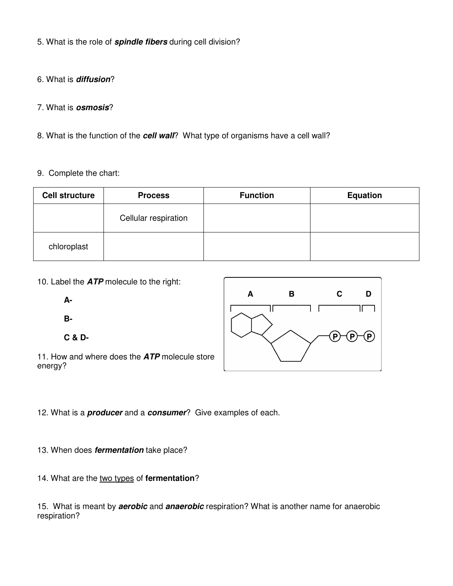5. What is the role of **spindle fibers** during cell division?

6. What is **diffusion**?

7. What is **osmosis**?

8. What is the function of the **cell wall**? What type of organisms have a cell wall?

## 9. Complete the chart:

| <b>Cell structure</b> | <b>Process</b>       | <b>Function</b> | <b>Equation</b> |
|-----------------------|----------------------|-----------------|-----------------|
|                       | Cellular respiration |                 |                 |
| chloroplast           |                      |                 |                 |

10. Label the **ATP** molecule to the right:

**A-**

**B-**

**C & D-**

11. How and where does the **ATP** molecule store energy?



12. What is a **producer** and a **consumer**? Give examples of each.

13. When does **fermentation** take place?

14. What are the two types of **fermentation**?

15. What is meant by **aerobic** and **anaerobic** respiration? What is another name for anaerobic respiration?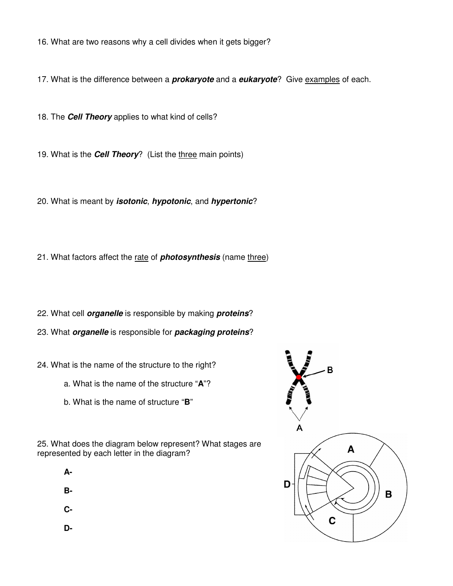16. What are two reasons why a cell divides when it gets bigger?

17. What is the difference between a **prokaryote** and a **eukaryote**? Give examples of each.

18. The **Cell Theory** applies to what kind of cells?

19. What is the **Cell Theory**? (List the three main points)

20. What is meant by **isotonic**, **hypotonic**, and **hypertonic**?

21. What factors affect the rate of **photosynthesis** (name three)

- 22. What cell **organelle** is responsible by making **proteins**?
- 23. What **organelle** is responsible for **packaging proteins**?
- 24. What is the name of the structure to the right?
	- a. What is the name of the structure "**A**"?
	- b. What is the name of structure "**B**"





**B-**

**C-**

**D-**